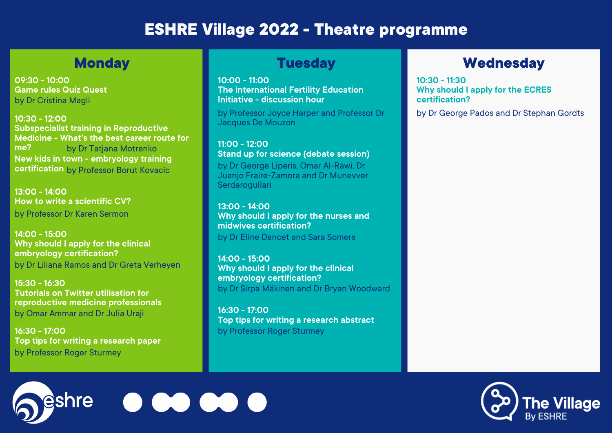**13:00 - 14:00 How to write a scientific CV?** by Professor Dr Karen Sermon

**14:00 - 15:00 Why should I apply for the clinical embryology certification?** by Dr Liliana Ramos and Dr Greta Verheyen **Stand up for science (debate session)** by Dr George Liperis, Omar Al-Rawi, Dr Juanjo Fraire-Zamora and Dr Munevver **Serdarogullari** 

**15:30 - 16:30 Tutorials on Twitter utilisation for reproductive medicine professionals** by Omar Ammar and Dr Julia Uraji

**16:30 - 17:00 Top tips for writing a research paper** by Professor Roger Sturmey

eshre

**10:00 - 11:00 The international Fertility Education Initiative - discussion hour**

by Professor Joyce Harper and Professor Dr Jacques De Mouzon

**10:30 - 12:00 Subspecialist training in Reproductive Medicine - What's the best career route for me?** by Dr Tatjana Motrenko by Professor Borut Kovacic **certification New kids in town - embryology training**

**11:00 - 12:00**

**13:00 - 14:00 Why should I apply for the nurses and midwives certification?** by Dr Eline Dancet and Sara Somers

**14:00 - 15:00 Why should I apply for the clinical embryology certification?** by Dr Sirpa Mäkinen and Dr Bryan Woodward

**16:30 - 17:00 Top tips for writing a research abstract** by Professor Roger Sturmey

## **Monday Been and Superior Construction Construction Construction Construction Construction Construction Construction Construction Construction Construction Construction Construction Construction Construction Construction C**

**10:30 - 11:30 Why should I apply for the ECRES certification?**

by Dr George Pados and Dr Stephan Gordts



# **ESHRE Village 2022 - Theatre programme**

**09:30 - 10:00 Game rules Quiz Quest** by Dr Cristina Magli